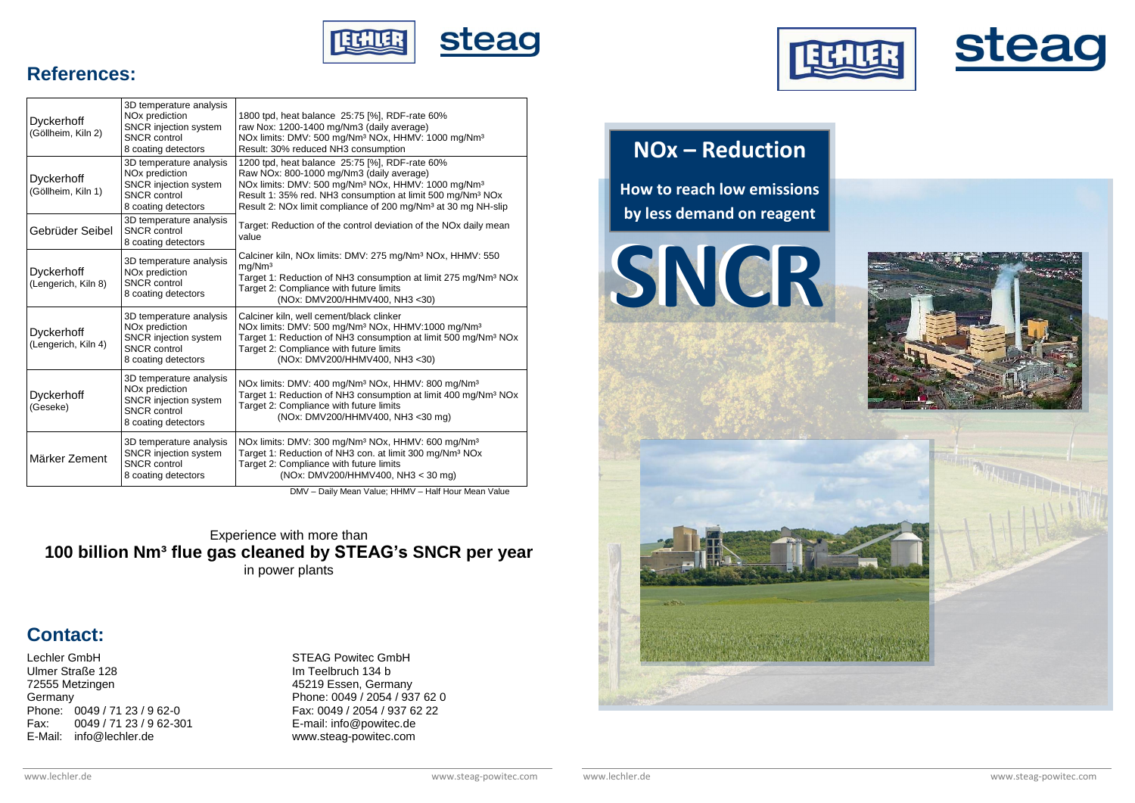



### **References:**

| <b>Dyckerhoff</b><br>(Göllheim, Kiln 2)  | 3D temperature analysis<br>NO <sub>x</sub> prediction<br><b>SNCR</b> injection system<br><b>SNCR</b> control<br>8 coating detectors | 1800 tpd, heat balance 25:75 [%], RDF-rate 60%<br>raw Nox: 1200-1400 mg/Nm3 (daily average)<br>NOx limits: DMV: 500 mg/Nm <sup>3</sup> NOx, HHMV: 1000 mg/Nm <sup>3</sup><br>Result: 30% reduced NH3 consumption                                                                                                                |
|------------------------------------------|-------------------------------------------------------------------------------------------------------------------------------------|---------------------------------------------------------------------------------------------------------------------------------------------------------------------------------------------------------------------------------------------------------------------------------------------------------------------------------|
| <b>Dyckerhoff</b><br>(Göllheim, Kiln 1)  | 3D temperature analysis<br>NO <sub>x</sub> prediction<br><b>SNCR</b> injection system<br><b>SNCR</b> control<br>8 coating detectors | 1200 tpd, heat balance 25:75 [%], RDF-rate 60%<br>Raw NOx: 800-1000 mg/Nm3 (daily average)<br>NOx limits: DMV: 500 mg/Nm <sup>3</sup> NOx, HHMV: 1000 mg/Nm <sup>3</sup><br>Result 1: 35% red. NH3 consumption at limit 500 mg/Nm <sup>3</sup> NOx<br>Result 2: NOx limit compliance of 200 mg/Nm <sup>3</sup> at 30 mg NH-slip |
| Gebrüder Seibel                          | 3D temperature analysis<br><b>SNCR</b> control<br>8 coating detectors                                                               | Target: Reduction of the control deviation of the NO <sub>x</sub> daily mean<br>value                                                                                                                                                                                                                                           |
| <b>Dyckerhoff</b><br>(Lengerich, Kiln 8) | 3D temperature analysis<br>NO <sub>x</sub> prediction<br><b>SNCR</b> control<br>8 coating detectors                                 | Calciner kiln, NOx limits: DMV: 275 mg/Nm <sup>3</sup> NOx, HHMV: 550<br>mg/Nm <sup>3</sup><br>Target 1: Reduction of NH3 consumption at limit 275 mg/Nm <sup>3</sup> NOx<br>Target 2: Compliance with future limits<br>(NOx: DMV200/HHMV400, NH3 <30)                                                                          |
| <b>Dyckerhoff</b><br>(Lengerich, Kiln 4) | 3D temperature analysis<br>NO <sub>x</sub> prediction<br>SNCR injection system<br><b>SNCR</b> control<br>8 coating detectors        | Calciner kiln, well cement/black clinker<br>NOx limits: DMV: 500 mg/Nm <sup>3</sup> NOx, HHMV:1000 mg/Nm <sup>3</sup><br>Target 1: Reduction of NH3 consumption at limit 500 mg/Nm <sup>3</sup> NOx<br>Target 2: Compliance with future limits<br>(NOx: DMV200/HHMV400, NH3 <30)                                                |
| <b>Dyckerhoff</b><br>(Geseke)            | 3D temperature analysis<br>NO <sub>x</sub> prediction<br><b>SNCR</b> injection system<br><b>SNCR</b> control<br>8 coating detectors | NOx limits: DMV: 400 mg/Nm <sup>3</sup> NOx, HHMV: 800 mg/Nm <sup>3</sup><br>Target 1: Reduction of NH3 consumption at limit 400 mg/Nm <sup>3</sup> NOx<br>Target 2: Compliance with future limits<br>(NOx: DMV200/HHMV400, NH3 <30 mg)                                                                                         |
| Märker Zement                            | 3D temperature analysis<br><b>SNCR</b> injection system<br><b>SNCR</b> control<br>8 coating detectors                               | NOx limits: DMV: 300 mg/Nm <sup>3</sup> NOx, HHMV: 600 mg/Nm <sup>3</sup><br>Target 1: Reduction of NH3 con. at limit 300 mg/Nm <sup>3</sup> NOx<br>Target 2: Compliance with future limits<br>(NOx: DMV200/HHMV400, NH3 < 30 mg)                                                                                               |

DMV – Daily Mean Value; HHMV – Half Hour Mean Value

Experience with more than **100 billion Nm³ flue gas cleaned by STEAG's SNCR per year** in power plants

### **Contact:**

Lechler GmbH Ulmer Straße 128 72555 Metzingen **Germany** Phone: 0049 / 71 23 / 9 62-0 Fax: 0049 / 71 23 / 9 62-301 E-Mail: info@lechler.de

STEAG Powitec GmbH Im Teelbruch 134 b 45219 Essen, Germany Phone: 0049 / 2054 / 937 62 0 Fax: 0049 / 2054 / 937 62 22 E-mail: info@powitec.de www.steag-powitec.com



# **NOx – Reduction**